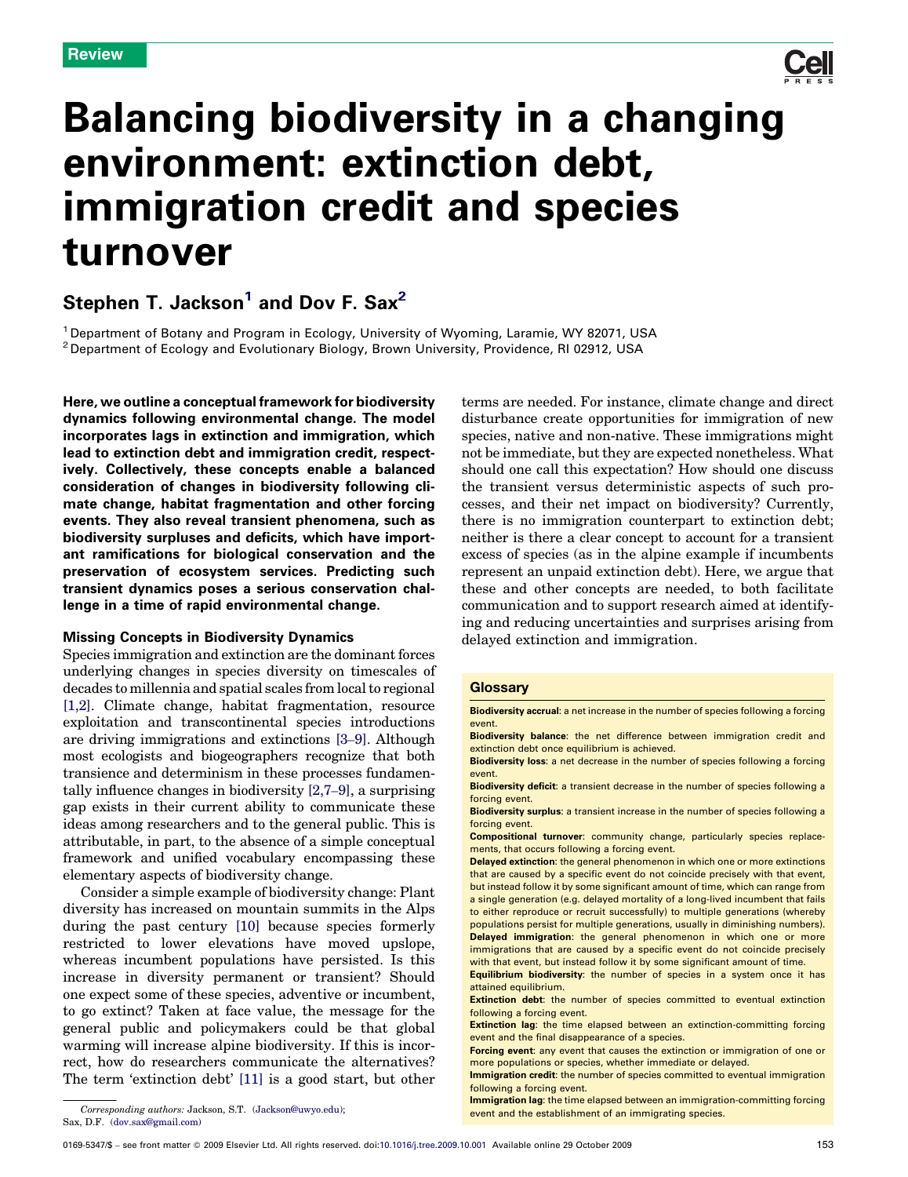

# <span id="page-0-0"></span>Balancing biodiversity in a changing environment: extinction debt, immigration credit and species turnover

## Stephen T. Jackson<sup>1</sup> and Dov F. Sax<sup>2</sup>

<sup>1</sup> Department of Botany and Program in Ecology, University of Wyoming, Laramie, WY 82071, USA <sup>2</sup> Department of Ecology and Evolutionary Biology, Brown University, Providence, RI 02912, USA

Here, we outline a conceptual framework for biodiversity dynamics following environmental change. The model incorporates lags in extinction and immigration, which lead to extinction debt and immigration credit, respectively. Collectively, these concepts enable a balanced consideration of changes in biodiversity following climate change, habitat fragmentation and other forcing events. They also reveal transient phenomena, such as biodiversity surpluses and deficits, which have important ramifications for biological conservation and the preservation of ecosystem services. Predicting such transient dynamics poses a serious conservation challenge in a time of rapid environmental change.

#### Missing Concepts in Biodiversity Dynamics

Species immigration and extinction are the dominant forces underlying changes in species diversity on timescales of decades to millennia and spatial scales from local to regional [\[1,2\]](#page-5-0). Climate change, habitat fragmentation, resource exploitation and transcontinental species introductions are driving immigrations and extinctions [3–[9\].](#page-6-0) Although most ecologists and biogeographers recognize that both transience and determinism in these processes fundamentally influence changes in biodiversity [\[2,7](#page-6-0)–9], a surprising gap exists in their current ability to communicate these ideas among researchers and to the general public. This is attributable, in part, to the absence of a simple conceptual framework and unified vocabulary encompassing these elementary aspects of biodiversity change.

Consider a simple example of biodiversity change: Plant diversity has increased on mountain summits in the Alps during the past century [\[10\]](#page-6-0) because species formerly restricted to lower elevations have moved upslope, whereas incumbent populations have persisted. Is this increase in diversity permanent or transient? Should one expect some of these species, adventive or incumbent, to go extinct? Taken at face value, the message for the general public and policymakers could be that global warming will increase alpine biodiversity. If this is incorrect, how do researchers communicate the alternatives? The term 'extinction debt' [\[11\]](#page-6-0) is a good start, but other

terms are needed. For instance, climate change and direct disturbance create opportunities for immigration of new species, native and non-native. These immigrations might not be immediate, but they are expected nonetheless. What should one call this expectation? How should one discuss the transient versus deterministic aspects of such processes, and their net impact on biodiversity? Currently, there is no immigration counterpart to extinction debt; neither is there a clear concept to account for a transient excess of species (as in the alpine example if incumbents represent an unpaid extinction debt). Here, we argue that these and other concepts are needed, to both facilitate communication and to support research aimed at identifying and reducing uncertainties and surprises arising from delayed extinction and immigration.

#### **Glossary**

Biodiversity accrual: a net increase in the number of species following a forcing event.

Biodiversity balance: the net difference between immigration credit and extinction debt once equilibrium is achieved.

Biodiversity loss: a net decrease in the number of species following a forcing event.

Biodiversity deficit: a transient decrease in the number of species following a forcing event.

Biodiversity surplus: a transient increase in the number of species following a forcing event.

Compositional turnover: community change, particularly species replacements, that occurs following a forcing event.

Delayed extinction: the general phenomenon in which one or more extinctions that are caused by a specific event do not coincide precisely with that event, but instead follow it by some significant amount of time, which can range from a single generation (e.g. delayed mortality of a long-lived incumbent that fails to either reproduce or recruit successfully) to multiple generations (whereby populations persist for multiple generations, usually in diminishing numbers). Delayed immigration: the general phenomenon in which one or more immigrations that are caused by a specific event do not coincide precisely with that event, but instead follow it by some significant amount of time.

Equilibrium biodiversity: the number of species in a system once it has attained equilibrium.

Extinction debt: the number of species committed to eventual extinction following a forcing event.

Extinction lag: the time elapsed between an extinction-committing forcing event and the final disappearance of a species.

Forcing event: any event that causes the extinction or immigration of one or more populations or species, whether immediate or delayed.

Immigration credit: the number of species committed to eventual immigration following a forcing event.

Immigration lag: the time elapsed between an immigration-committing forcing Corresponding authors: Jackson, S.T. ([Jackson@uwyo.edu](mailto:Jackson@uwyo.edu));<br>event and the establishment of an immigrating species.

Sax, D.F. ([dov.sax@gmail.com\)](mailto:dov.sax@gmail.com)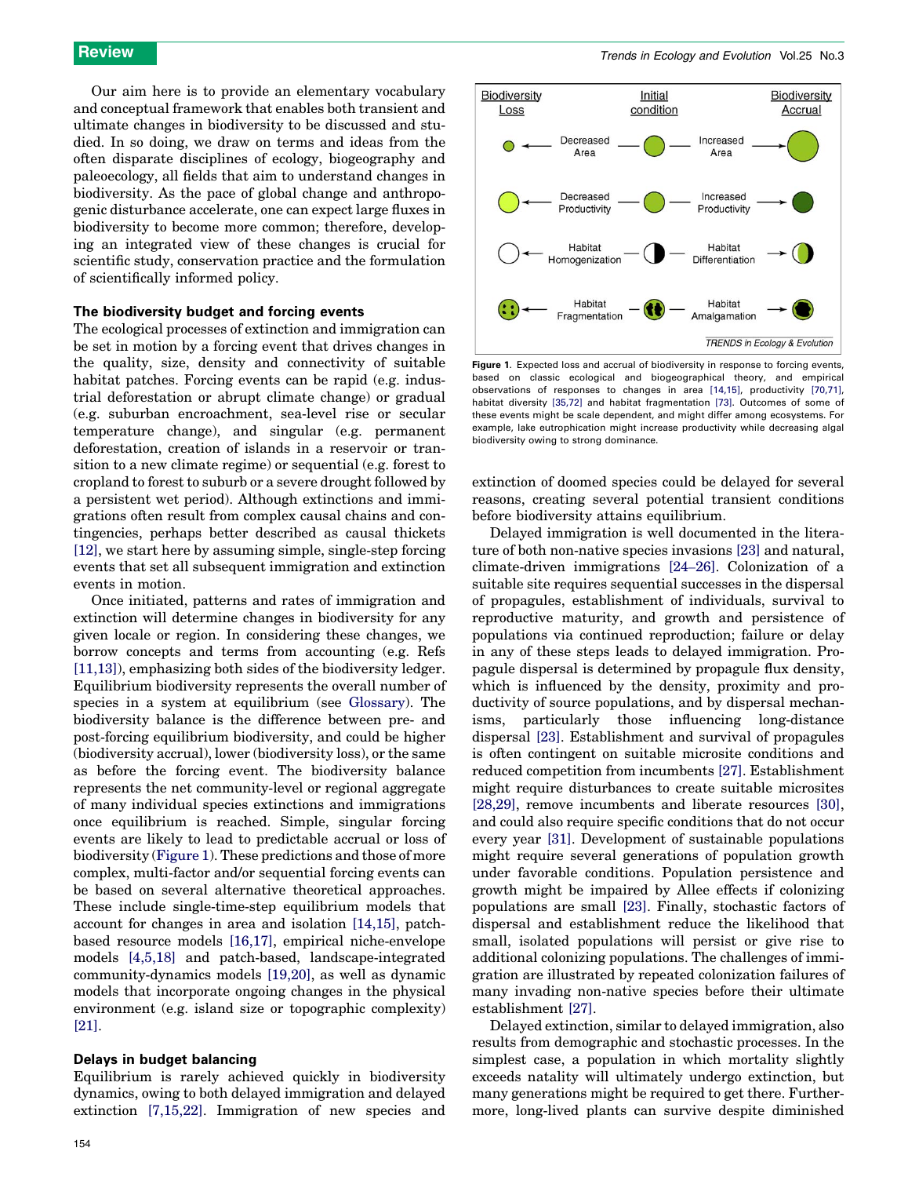Our aim here is to provide an elementary vocabulary and conceptual framework that enables both transient and ultimate changes in biodiversity to be discussed and studied. In so doing, we draw on terms and ideas from the often disparate disciplines of ecology, biogeography and paleoecology, all fields that aim to understand changes in biodiversity. As the pace of global change and anthropogenic disturbance accelerate, one can expect large fluxes in biodiversity to become more common; therefore, developing an integrated view of these changes is crucial for scientific study, conservation practice and the formulation of scientifically informed policy.

#### The biodiversity budget and forcing events

The ecological processes of extinction and immigration can be set in motion by a forcing event that drives changes in the quality, size, density and connectivity of suitable habitat patches. Forcing events can be rapid (e.g. industrial deforestation or abrupt climate change) or gradual (e.g. suburban encroachment, sea-level rise or secular temperature change), and singular (e.g. permanent deforestation, creation of islands in a reservoir or transition to a new climate regime) or sequential (e.g. forest to cropland to forest to suburb or a severe drought followed by a persistent wet period). Although extinctions and immigrations often result from complex causal chains and contingencies, perhaps better described as causal thickets [\[12\]](#page-6-0), we start here by assuming simple, single-step forcing events that set all subsequent immigration and extinction events in motion.

Once initiated, patterns and rates of immigration and extinction will determine changes in biodiversity for any given locale or region. In considering these changes, we borrow concepts and terms from accounting (e.g. Refs [\[11,13\]](#page-6-0)), emphasizing both sides of the biodiversity ledger. Equilibrium biodiversity represents the overall number of species in a system at equilibrium (see [Glossary](#page-0-0)). The biodiversity balance is the difference between pre- and post-forcing equilibrium biodiversity, and could be higher (biodiversity accrual), lower (biodiversity loss), or the same as before the forcing event. The biodiversity balance represents the net community-level or regional aggregate of many individual species extinctions and immigrations once equilibrium is reached. Simple, singular forcing events are likely to lead to predictable accrual or loss of biodiversity (Figure 1). These predictions and those of more complex, multi-factor and/or sequential forcing events can be based on several alternative theoretical approaches. These include single-time-step equilibrium models that account for changes in area and isolation [\[14,15\]](#page-6-0), patchbased resource models [\[16,17\]](#page-6-0), empirical niche-envelope models [\[4,5,18\]](#page-6-0) and patch-based, landscape-integrated community-dynamics models [\[19,20\],](#page-6-0) as well as dynamic models that incorporate ongoing changes in the physical environment (e.g. island size or topographic complexity) [\[21\]](#page-6-0).

#### Delays in budget balancing

Equilibrium is rarely achieved quickly in biodiversity dynamics, owing to both delayed immigration and delayed extinction [\[7,15,22\].](#page-6-0) Immigration of new species and



Figure 1. Expected loss and accrual of biodiversity in response to forcing events, based on classic ecological and biogeographical theory, and empirical observations of responses to changes in area [\[14,15\],](#page-6-0) productivity [\[70,71\],](#page-7-0) habitat diversity [\[35,72\]](#page-6-0) and habitat fragmentation [\[73\]](#page-7-0). Outcomes of some of these events might be scale dependent, and might differ among ecosystems. For example, lake eutrophication might increase productivity while decreasing algal biodiversity owing to strong dominance.

extinction of doomed species could be delayed for several reasons, creating several potential transient conditions before biodiversity attains equilibrium.

Delayed immigration is well documented in the literature of both non-native species invasions [\[23\]](#page-6-0) and natural, climate-driven immigrations [24–[26\].](#page-6-0) Colonization of a suitable site requires sequential successes in the dispersal of propagules, establishment of individuals, survival to reproductive maturity, and growth and persistence of populations via continued reproduction; failure or delay in any of these steps leads to delayed immigration. Propagule dispersal is determined by propagule flux density, which is influenced by the density, proximity and productivity of source populations, and by dispersal mechanisms, particularly those influencing long-distance dispersal [\[23\]](#page-6-0). Establishment and survival of propagules is often contingent on suitable microsite conditions and reduced competition from incumbents [\[27\].](#page-6-0) Establishment might require disturbances to create suitable microsites [\[28,29\]](#page-6-0), remove incumbents and liberate resources [\[30\]](#page-6-0), and could also require specific conditions that do not occur every year [\[31\].](#page-6-0) Development of sustainable populations might require several generations of population growth under favorable conditions. Population persistence and growth might be impaired by Allee effects if colonizing populations are small [\[23\].](#page-6-0) Finally, stochastic factors of dispersal and establishment reduce the likelihood that small, isolated populations will persist or give rise to additional colonizing populations. The challenges of immigration are illustrated by repeated colonization failures of many invading non-native species before their ultimate establishment [\[27\].](#page-6-0)

Delayed extinction, similar to delayed immigration, also results from demographic and stochastic processes. In the simplest case, a population in which mortality slightly exceeds natality will ultimately undergo extinction, but many generations might be required to get there. Furthermore, long-lived plants can survive despite diminished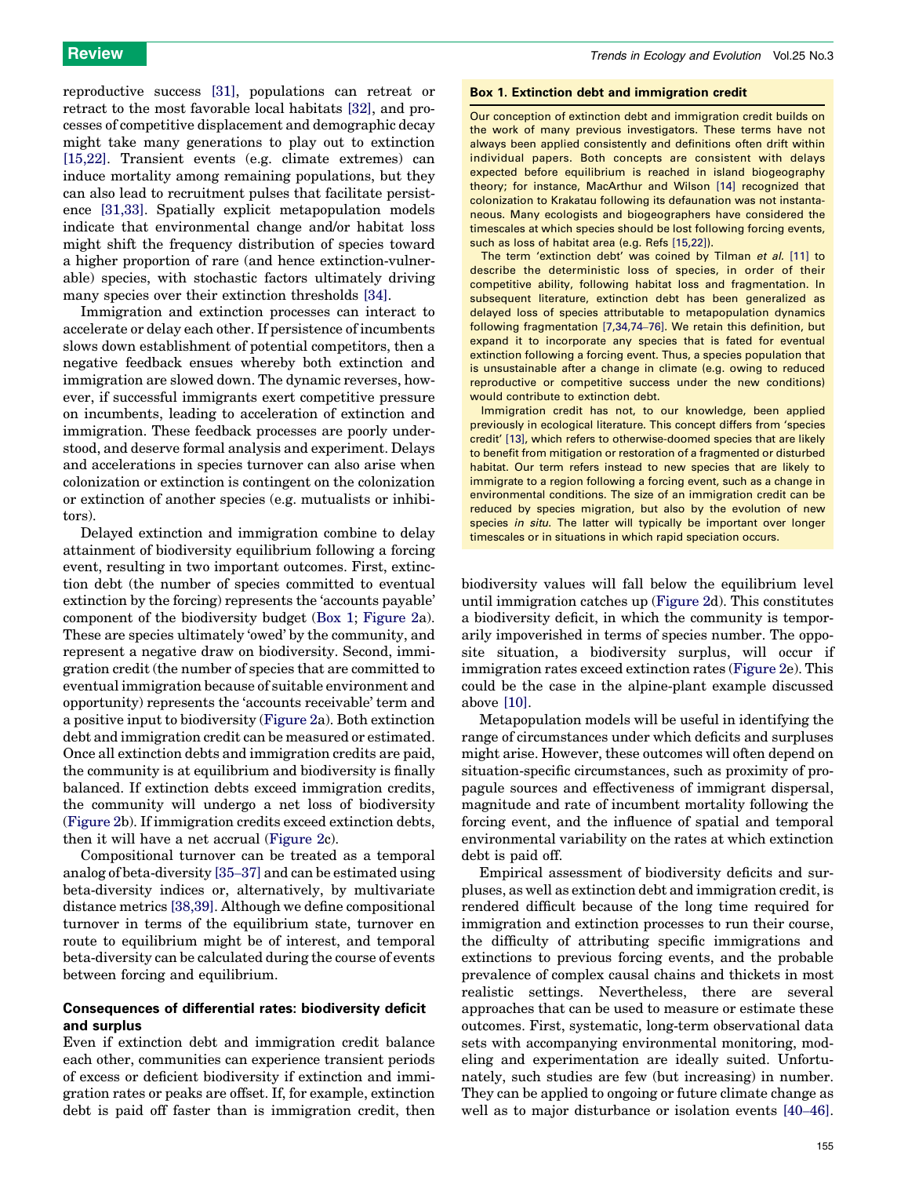reproductive success [\[31\]](#page-6-0), populations can retreat or retract to the most favorable local habitats [\[32\],](#page-6-0) and processes of competitive displacement and demographic decay might take many generations to play out to extinction [\[15,22\]](#page-6-0). Transient events (e.g. climate extremes) can induce mortality among remaining populations, but they can also lead to recruitment pulses that facilitate persistence [\[31,33\]](#page-6-0). Spatially explicit metapopulation models indicate that environmental change and/or habitat loss might shift the frequency distribution of species toward a higher proportion of rare (and hence extinction-vulnerable) species, with stochastic factors ultimately driving many species over their extinction thresholds [\[34\].](#page-6-0)

Immigration and extinction processes can interact to accelerate or delay each other. If persistence of incumbents slows down establishment of potential competitors, then a negative feedback ensues whereby both extinction and immigration are slowed down. The dynamic reverses, however, if successful immigrants exert competitive pressure on incumbents, leading to acceleration of extinction and immigration. These feedback processes are poorly understood, and deserve formal analysis and experiment. Delays and accelerations in species turnover can also arise when colonization or extinction is contingent on the colonization or extinction of another species (e.g. mutualists or inhibitors).

Delayed extinction and immigration combine to delay attainment of biodiversity equilibrium following a forcing event, resulting in two important outcomes. First, extinction debt (the number of species committed to eventual extinction by the forcing) represents the 'accounts payable' component of the biodiversity budget (Box 1; [Figure 2a](#page-3-0)). These are species ultimately 'owed' by the community, and represent a negative draw on biodiversity. Second, immigration credit (the number of species that are committed to eventual immigration because of suitable environment and opportunity) represents the 'accounts receivable' term and a positive input to biodiversity [\(Figure 2](#page-3-0)a). Both extinction debt and immigration credit can be measured or estimated. Once all extinction debts and immigration credits are paid, the community is at equilibrium and biodiversity is finally balanced. If extinction debts exceed immigration credits, the community will undergo a net loss of biodiversity ([Figure 2b](#page-3-0)). If immigration credits exceed extinction debts, then it will have a net accrual ([Figure 2](#page-3-0)c).

Compositional turnover can be treated as a temporal analog of beta-diversity [\[35](#page-6-0)–37] and can be estimated using beta-diversity indices or, alternatively, by multivariate distance metrics [\[38,39\].](#page-6-0) Although we define compositional turnover in terms of the equilibrium state, turnover en route to equilibrium might be of interest, and temporal beta-diversity can be calculated during the course of events between forcing and equilibrium.

## Consequences of differential rates: biodiversity deficit and surplus

Even if extinction debt and immigration credit balance each other, communities can experience transient periods of excess or deficient biodiversity if extinction and immigration rates or peaks are offset. If, for example, extinction debt is paid off faster than is immigration credit, then

#### Box 1. Extinction debt and immigration credit

Our conception of extinction debt and immigration credit builds on the work of many previous investigators. These terms have not always been applied consistently and definitions often drift within individual papers. Both concepts are consistent with delays expected before equilibrium is reached in island biogeography theory; for instance, MacArthur and Wilson [\[14\]](#page-6-0) recognized that colonization to Krakatau following its defaunation was not instantaneous. Many ecologists and biogeographers have considered the timescales at which species should be lost following forcing events, such as loss of habitat area (e.g. Refs [\[15,22\]](#page-6-0)).

The term 'extinction debt' was coined by Tilman et al. [\[11\]](#page-6-0) to describe the deterministic loss of species, in order of their competitive ability, following habitat loss and fragmentation. In subsequent literature, extinction debt has been generalized as delayed loss of species attributable to metapopulation dynamics following fragmentation [\[7,34,74](#page-6-0)–76]. We retain this definition, but expand it to incorporate any species that is fated for eventual extinction following a forcing event. Thus, a species population that is unsustainable after a change in climate (e.g. owing to reduced reproductive or competitive success under the new conditions) would contribute to extinction debt.

Immigration credit has not, to our knowledge, been applied previously in ecological literature. This concept differs from 'species credit' [\[13\]](#page-6-0), which refers to otherwise-doomed species that are likely to benefit from mitigation or restoration of a fragmented or disturbed habitat. Our term refers instead to new species that are likely to immigrate to a region following a forcing event, such as a change in environmental conditions. The size of an immigration credit can be reduced by species migration, but also by the evolution of new species in situ. The latter will typically be important over longer timescales or in situations in which rapid speciation occurs.

biodiversity values will fall below the equilibrium level until immigration catches up ([Figure 2d](#page-3-0)). This constitutes a biodiversity deficit, in which the community is temporarily impoverished in terms of species number. The opposite situation, a biodiversity surplus, will occur if immigration rates exceed extinction rates ([Figure 2e](#page-3-0)). This could be the case in the alpine-plant example discussed above [\[10\]](#page-6-0).

Metapopulation models will be useful in identifying the range of circumstances under which deficits and surpluses might arise. However, these outcomes will often depend on situation-specific circumstances, such as proximity of propagule sources and effectiveness of immigrant dispersal, magnitude and rate of incumbent mortality following the forcing event, and the influence of spatial and temporal environmental variability on the rates at which extinction debt is paid off.

Empirical assessment of biodiversity deficits and surpluses, as well as extinction debt and immigration credit, is rendered difficult because of the long time required for immigration and extinction processes to run their course, the difficulty of attributing specific immigrations and extinctions to previous forcing events, and the probable prevalence of complex causal chains and thickets in most realistic settings. Nevertheless, there are several approaches that can be used to measure or estimate these outcomes. First, systematic, long-term observational data sets with accompanying environmental monitoring, modeling and experimentation are ideally suited. Unfortunately, such studies are few (but increasing) in number. They can be applied to ongoing or future climate change as well as to major disturbance or isolation events [\[40](#page-6-0)–46].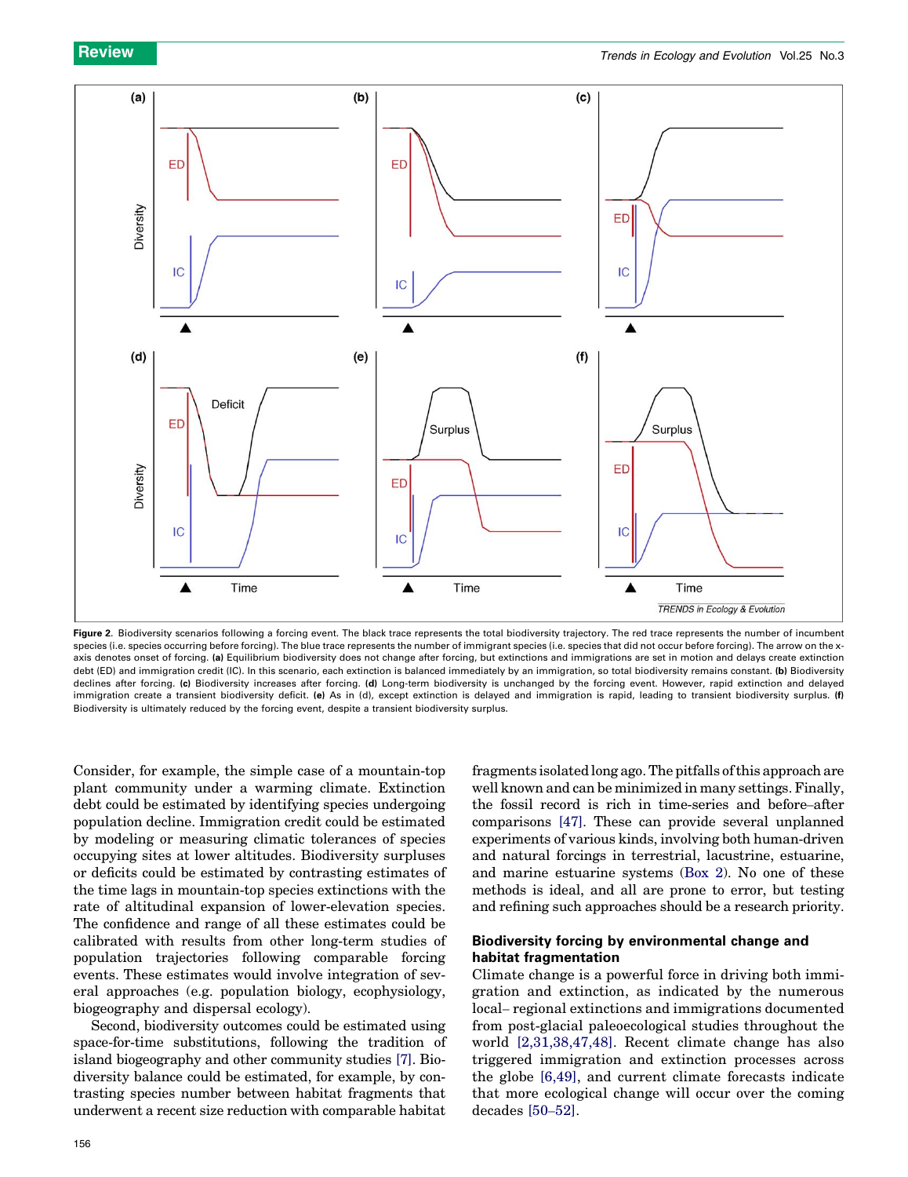<span id="page-3-0"></span>

Figure 2. Biodiversity scenarios following a forcing event. The black trace represents the total biodiversity trajectory. The red trace represents the number of incumbent species (i.e. species occurring before forcing). The blue trace represents the number of immigrant species (i.e. species that did not occur before forcing). The arrow on the xaxis denotes onset of forcing. (a) Equilibrium biodiversity does not change after forcing, but extinctions and immigrations are set in motion and delays create extinction debt (ED) and immigration credit (IC). In this scenario, each extinction is balanced immediately by an immigration, so total biodiversity remains constant. (b) Biodiversity declines after forcing. (c) Biodiversity increases after forcing. (d) Long-term biodiversity is unchanged by the forcing event. However, rapid extinction and delayed immigration create a transient biodiversity deficit. (e) As in (d), except extinction is delayed and immigration is rapid, leading to transient biodiversity surplus. (f) Biodiversity is ultimately reduced by the forcing event, despite a transient biodiversity surplus.

Consider, for example, the simple case of a mountain-top plant community under a warming climate. Extinction debt could be estimated by identifying species undergoing population decline. Immigration credit could be estimated by modeling or measuring climatic tolerances of species occupying sites at lower altitudes. Biodiversity surpluses or deficits could be estimated by contrasting estimates of the time lags in mountain-top species extinctions with the rate of altitudinal expansion of lower-elevation species. The confidence and range of all these estimates could be calibrated with results from other long-term studies of population trajectories following comparable forcing events. These estimates would involve integration of several approaches (e.g. population biology, ecophysiology, biogeography and dispersal ecology).

Second, biodiversity outcomes could be estimated using space-for-time substitutions, following the tradition of island biogeography and other community studies [\[7\]](#page-6-0). Biodiversity balance could be estimated, for example, by contrasting species number between habitat fragments that underwent a recent size reduction with comparable habitat fragments isolated long ago. The pitfalls of this approach are well known and can be minimized in many settings. Finally, the fossil record is rich in time-series and before–after comparisons [\[47\]](#page-6-0). These can provide several unplanned experiments of various kinds, involving both human-driven and natural forcings in terrestrial, lacustrine, estuarine, and marine estuarine systems ([Box 2\)](#page-4-0). No one of these methods is ideal, and all are prone to error, but testing and refining such approaches should be a research priority.

## Biodiversity forcing by environmental change and habitat fragmentation

Climate change is a powerful force in driving both immigration and extinction, as indicated by the numerous local– regional extinctions and immigrations documented from post-glacial paleoecological studies throughout the world [\[2,31,38,47,48\].](#page-6-0) Recent climate change has also triggered immigration and extinction processes across the globe [\[6,49\]](#page-6-0), and current climate forecasts indicate that more ecological change will occur over the coming decades [50–[52\].](#page-6-0)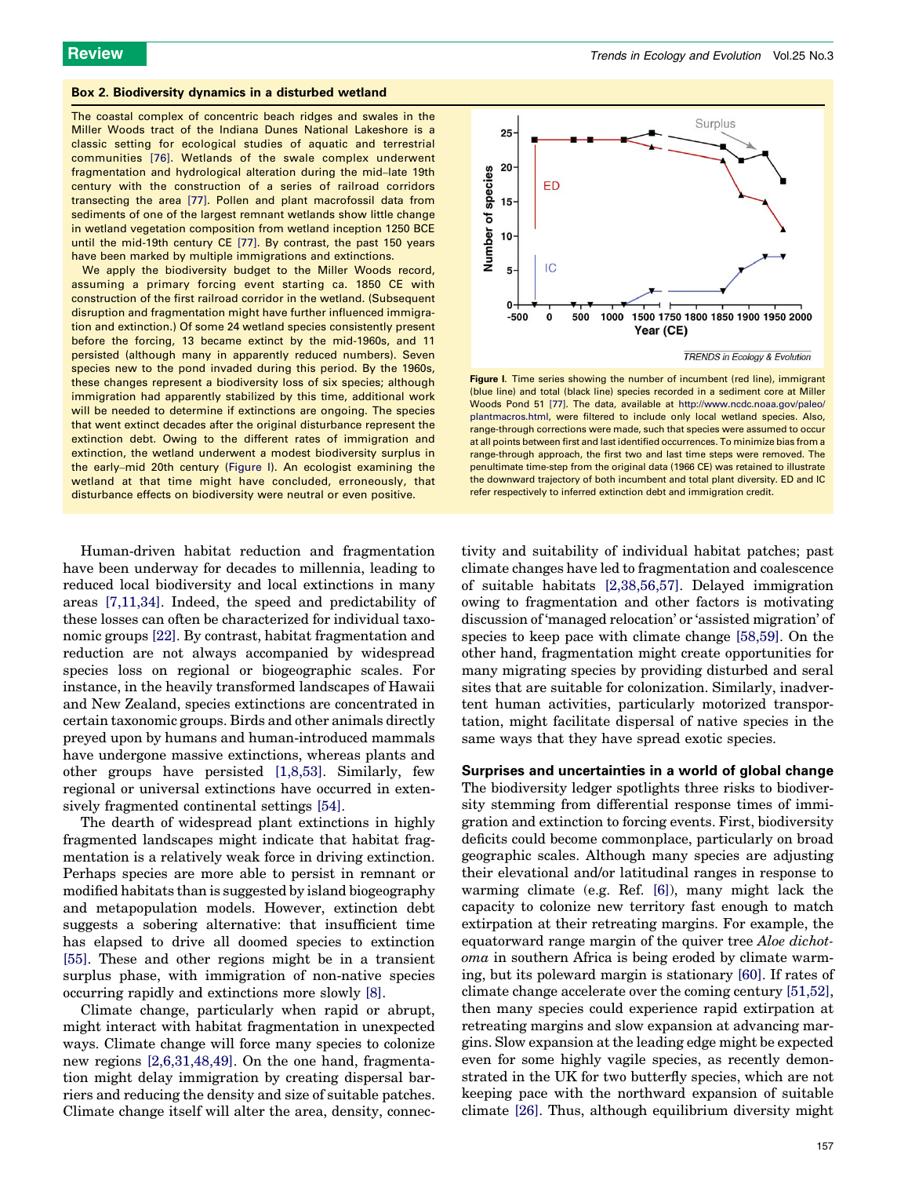#### <span id="page-4-0"></span>Box 2. Biodiversity dynamics in a disturbed wetland

The coastal complex of concentric beach ridges and swales in the Miller Woods tract of the Indiana Dunes National Lakeshore is a classic setting for ecological studies of aquatic and terrestrial communities [\[76\]](#page-7-0). Wetlands of the swale complex underwent fragmentation and hydrological alteration during the mid–late 19th century with the construction of a series of railroad corridors transecting the area [\[77\].](#page-7-0) Pollen and plant macrofossil data from sediments of one of the largest remnant wetlands show little change in wetland vegetation composition from wetland inception 1250 BCE until the mid-19th century CE [\[77\]](#page-7-0). By contrast, the past 150 years have been marked by multiple immigrations and extinctions.

We apply the biodiversity budget to the Miller Woods record, assuming a primary forcing event starting ca. 1850 CE with construction of the first railroad corridor in the wetland. (Subsequent disruption and fragmentation might have further influenced immigration and extinction.) Of some 24 wetland species consistently present before the forcing, 13 became extinct by the mid-1960s, and 11 persisted (although many in apparently reduced numbers). Seven species new to the pond invaded during this period. By the 1960s, these changes represent a biodiversity loss of six species; although immigration had apparently stabilized by this time, additional work will be needed to determine if extinctions are ongoing. The species that went extinct decades after the original disturbance represent the extinction debt. Owing to the different rates of immigration and extinction, the wetland underwent a modest biodiversity surplus in the early–mid 20th century (Figure I). An ecologist examining the wetland at that time might have concluded, erroneously, that disturbance effects on biodiversity were neutral or even positive.

Human-driven habitat reduction and fragmentation have been underway for decades to millennia, leading to reduced local biodiversity and local extinctions in many areas [\[7,11,34\]](#page-6-0). Indeed, the speed and predictability of these losses can often be characterized for individual taxonomic groups [\[22\]](#page-6-0). By contrast, habitat fragmentation and reduction are not always accompanied by widespread species loss on regional or biogeographic scales. For instance, in the heavily transformed landscapes of Hawaii and New Zealand, species extinctions are concentrated in certain taxonomic groups. Birds and other animals directly preyed upon by humans and human-introduced mammals have undergone massive extinctions, whereas plants and other groups have persisted [\[1,8,53\].](#page-5-0) Similarly, few regional or universal extinctions have occurred in extensively fragmented continental settings [\[54\]](#page-6-0).

The dearth of widespread plant extinctions in highly fragmented landscapes might indicate that habitat fragmentation is a relatively weak force in driving extinction. Perhaps species are more able to persist in remnant or modified habitats than is suggested by island biogeography and metapopulation models. However, extinction debt suggests a sobering alternative: that insufficient time has elapsed to drive all doomed species to extinction [\[55\]](#page-6-0). These and other regions might be in a transient surplus phase, with immigration of non-native species occurring rapidly and extinctions more slowly [\[8\].](#page-6-0)

Climate change, particularly when rapid or abrupt, might interact with habitat fragmentation in unexpected ways. Climate change will force many species to colonize new regions [\[2,6,31,48,49\]](#page-6-0). On the one hand, fragmentation might delay immigration by creating dispersal barriers and reducing the density and size of suitable patches. Climate change itself will alter the area, density, connec-



Figure I. Time series showing the number of incumbent (red line), immigrant (blue line) and total (black line) species recorded in a sediment core at Miller Woods Pond 51 [\[77\].](#page-7-0) The data, available at [http://www.ncdc.noaa.gov/paleo/](http://www.ncdc.noaa.gov/paleo/plantmacros.html) [plantmacros.html](http://www.ncdc.noaa.gov/paleo/plantmacros.html), were filtered to include only local wetland species. Also, range-through corrections were made, such that species were assumed to occur at all points between first and last identified occurrences. To minimize bias from a range-through approach, the first two and last time steps were removed. The penultimate time-step from the original data (1966 CE) was retained to illustrate the downward trajectory of both incumbent and total plant diversity. ED and IC refer respectively to inferred extinction debt and immigration credit.

tivity and suitability of individual habitat patches; past climate changes have led to fragmentation and coalescence of suitable habitats [\[2,38,56,57\]](#page-6-0). Delayed immigration owing to fragmentation and other factors is motivating discussion of 'managed relocation' or 'assisted migration' of species to keep pace with climate change [\[58,59\]](#page-6-0). On the other hand, fragmentation might create opportunities for many migrating species by providing disturbed and seral sites that are suitable for colonization. Similarly, inadvertent human activities, particularly motorized transportation, might facilitate dispersal of native species in the same ways that they have spread exotic species.

Surprises and uncertainties in a world of global change The biodiversity ledger spotlights three risks to biodiversity stemming from differential response times of immigration and extinction to forcing events. First, biodiversity deficits could become commonplace, particularly on broad geographic scales. Although many species are adjusting their elevational and/or latitudinal ranges in response to warming climate (e.g. Ref. [\[6\]\)](#page-6-0), many might lack the capacity to colonize new territory fast enough to match extirpation at their retreating margins. For example, the equatorward range margin of the quiver tree *Aloe dichot*oma in southern Africa is being eroded by climate warming, but its poleward margin is stationary [\[60\]](#page-6-0). If rates of climate change accelerate over the coming century [\[51,52\]](#page-6-0), then many species could experience rapid extirpation at retreating margins and slow expansion at advancing margins. Slow expansion at the leading edge might be expected even for some highly vagile species, as recently demonstrated in the UK for two butterfly species, which are not keeping pace with the northward expansion of suitable climate [\[26\].](#page-6-0) Thus, although equilibrium diversity might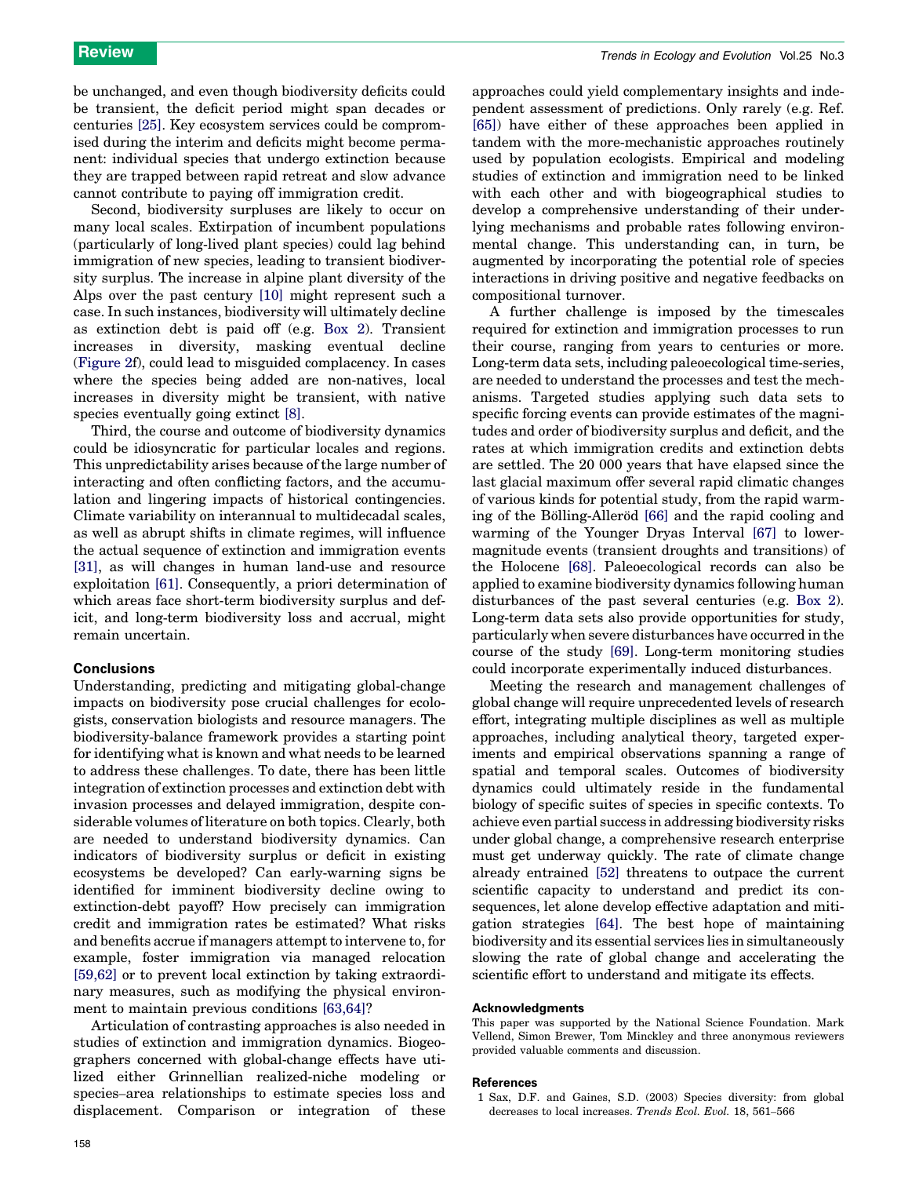<span id="page-5-0"></span>be unchanged, and even though biodiversity deficits could be transient, the deficit period might span decades or centuries [\[25\]](#page-6-0). Key ecosystem services could be compromised during the interim and deficits might become permanent: individual species that undergo extinction because they are trapped between rapid retreat and slow advance cannot contribute to paying off immigration credit.

Second, biodiversity surpluses are likely to occur on many local scales. Extirpation of incumbent populations (particularly of long-lived plant species) could lag behind immigration of new species, leading to transient biodiversity surplus. The increase in alpine plant diversity of the Alps over the past century [\[10\]](#page-6-0) might represent such a case. In such instances, biodiversity will ultimately decline as extinction debt is paid off (e.g. [Box 2](#page-4-0)). Transient increases in diversity, masking eventual decline ([Figure 2](#page-3-0)f), could lead to misguided complacency. In cases where the species being added are non-natives, local increases in diversity might be transient, with native species eventually going extinct [\[8\]](#page-6-0).

Third, the course and outcome of biodiversity dynamics could be idiosyncratic for particular locales and regions. This unpredictability arises because of the large number of interacting and often conflicting factors, and the accumulation and lingering impacts of historical contingencies. Climate variability on interannual to multidecadal scales, as well as abrupt shifts in climate regimes, will influence the actual sequence of extinction and immigration events [\[31\]](#page-6-0), as will changes in human land-use and resource exploitation [\[61\]](#page-6-0). Consequently, a priori determination of which areas face short-term biodiversity surplus and deficit, and long-term biodiversity loss and accrual, might remain uncertain.

## **Conclusions**

Understanding, predicting and mitigating global-change impacts on biodiversity pose crucial challenges for ecologists, conservation biologists and resource managers. The biodiversity-balance framework provides a starting point for identifying what is known and what needs to be learned to address these challenges. To date, there has been little integration of extinction processes and extinction debt with invasion processes and delayed immigration, despite considerable volumes of literature on both topics. Clearly, both are needed to understand biodiversity dynamics. Can indicators of biodiversity surplus or deficit in existing ecosystems be developed? Can early-warning signs be identified for imminent biodiversity decline owing to extinction-debt payoff? How precisely can immigration credit and immigration rates be estimated? What risks and benefits accrue if managers attempt to intervene to, for example, foster immigration via managed relocation [\[59,62\]](#page-6-0) or to prevent local extinction by taking extraordinary measures, such as modifying the physical environment to maintain previous conditions [\[63,64\]](#page-7-0)?

Articulation of contrasting approaches is also needed in studies of extinction and immigration dynamics. Biogeographers concerned with global-change effects have utilized either Grinnellian realized-niche modeling or species–area relationships to estimate species loss and displacement. Comparison or integration of these

approaches could yield complementary insights and independent assessment of predictions. Only rarely (e.g. Ref. [\[65\]](#page-7-0)) have either of these approaches been applied in tandem with the more-mechanistic approaches routinely used by population ecologists. Empirical and modeling studies of extinction and immigration need to be linked with each other and with biogeographical studies to develop a comprehensive understanding of their underlying mechanisms and probable rates following environmental change. This understanding can, in turn, be augmented by incorporating the potential role of species interactions in driving positive and negative feedbacks on compositional turnover.

A further challenge is imposed by the timescales required for extinction and immigration processes to run their course, ranging from years to centuries or more. Long-term data sets, including paleoecological time-series, are needed to understand the processes and test the mechanisms. Targeted studies applying such data sets to specific forcing events can provide estimates of the magnitudes and order of biodiversity surplus and deficit, and the rates at which immigration credits and extinction debts are settled. The 20 000 years that have elapsed since the last glacial maximum offer several rapid climatic changes of various kinds for potential study, from the rapid warm-ing of the Bölling-Alleröd [\[66\]](#page-7-0) and the rapid cooling and warming of the Younger Dryas Interval [\[67\]](#page-7-0) to lowermagnitude events (transient droughts and transitions) of the Holocene [\[68\].](#page-7-0) Paleoecological records can also be applied to examine biodiversity dynamics following human disturbances of the past several centuries (e.g. [Box 2](#page-4-0)). Long-term data sets also provide opportunities for study, particularly when severe disturbances have occurred in the course of the study [\[69\].](#page-7-0) Long-term monitoring studies could incorporate experimentally induced disturbances.

Meeting the research and management challenges of global change will require unprecedented levels of research effort, integrating multiple disciplines as well as multiple approaches, including analytical theory, targeted experiments and empirical observations spanning a range of spatial and temporal scales. Outcomes of biodiversity dynamics could ultimately reside in the fundamental biology of specific suites of species in specific contexts. To achieve even partial success in addressing biodiversity risks under global change, a comprehensive research enterprise must get underway quickly. The rate of climate change already entrained [\[52\]](#page-6-0) threatens to outpace the current scientific capacity to understand and predict its consequences, let alone develop effective adaptation and mitigation strategies [\[64\].](#page-7-0) The best hope of maintaining biodiversity and its essential services lies in simultaneously slowing the rate of global change and accelerating the scientific effort to understand and mitigate its effects.

#### Acknowledgments

This paper was supported by the National Science Foundation. Mark Vellend, Simon Brewer, Tom Minckley and three anonymous reviewers provided valuable comments and discussion.

#### **References**

1 Sax, D.F. and Gaines, S.D. (2003) Species diversity: from global decreases to local increases. Trends Ecol. Evol. 18, 561–566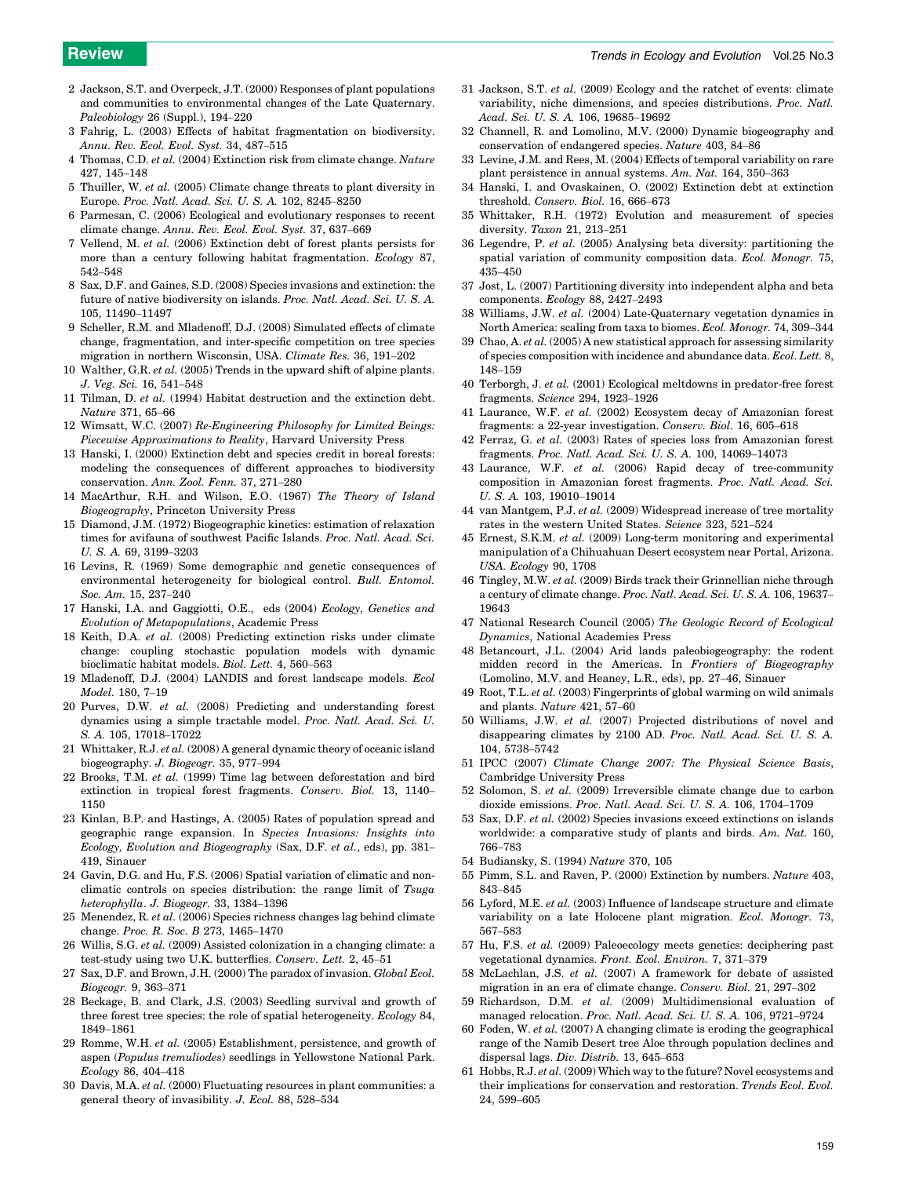- <span id="page-6-0"></span>2 Jackson, S.T. and Overpeck, J.T. (2000) Responses of plant populations and communities to environmental changes of the Late Quaternary. Paleobiology 26 (Suppl.), 194–220
- 3 Fahrig, L. (2003) Effects of habitat fragmentation on biodiversity. Annu. Rev. Ecol. Evol. Syst. 34, 487–515
- 4 Thomas, C.D. et al. (2004) Extinction risk from climate change. Nature 427, 145–148
- 5 Thuiller, W. et al. (2005) Climate change threats to plant diversity in Europe. Proc. Natl. Acad. Sci. U. S. A. 102, 8245–8250
- 6 Parmesan, C. (2006) Ecological and evolutionary responses to recent climate change. Annu. Rev. Ecol. Evol. Syst. 37, 637–669
- 7 Vellend, M. et al. (2006) Extinction debt of forest plants persists for more than a century following habitat fragmentation. Ecology 87, 542–548
- 8 Sax, D.F. and Gaines, S.D. (2008) Species invasions and extinction: the future of native biodiversity on islands. Proc. Natl. Acad. Sci. U. S. A. 105, 11490–11497
- 9 Scheller, R.M. and Mladenoff, D.J. (2008) Simulated effects of climate change, fragmentation, and inter-specific competition on tree species migration in northern Wisconsin, USA. Climate Res. 36, 191–202
- 10 Walther, G.R. et al. (2005) Trends in the upward shift of alpine plants. J. Veg. Sci. 16, 541–548
- 11 Tilman, D. et al. (1994) Habitat destruction and the extinction debt. Nature 371, 65–66
- 12 Wimsatt, W.C. (2007) Re-Engineering Philosophy for Limited Beings: Piecewise Approximations to Reality, Harvard University Press
- 13 Hanski, I. (2000) Extinction debt and species credit in boreal forests: modeling the consequences of different approaches to biodiversity conservation. Ann. Zool. Fenn. 37, 271–280
- 14 MacArthur, R.H. and Wilson, E.O. (1967) The Theory of Island Biogeography, Princeton University Press
- 15 Diamond, J.M. (1972) Biogeographic kinetics: estimation of relaxation times for avifauna of southwest Pacific Islands. Proc. Natl. Acad. Sci. U. S. A. 69, 3199–3203
- 16 Levins, R. (1969) Some demographic and genetic consequences of environmental heterogeneity for biological control. Bull. Entomol. Soc. Am. 15, 237–240
- 17 Hanski, I.A. and Gaggiotti, O.E., eds (2004) Ecology, Genetics and Evolution of Metapopulations, Academic Press
- 18 Keith, D.A. et al. (2008) Predicting extinction risks under climate change: coupling stochastic population models with dynamic bioclimatic habitat models. Biol. Lett. 4, 560–563
- 19 Mladenoff, D.J. (2004) LANDIS and forest landscape models. Ecol Model. 180, 7–19
- 20 Purves, D.W. et al. (2008) Predicting and understanding forest dynamics using a simple tractable model. Proc. Natl. Acad. Sci. U. S. A. 105, 17018–17022
- 21 Whittaker, R.J. et al. (2008) A general dynamic theory of oceanic island biogeography. J. Biogeogr. 35, 977–994
- 22 Brooks, T.M. et al. (1999) Time lag between deforestation and bird extinction in tropical forest fragments. Conserv. Biol. 13, 1140– 1150
- 23 Kinlan, B.P. and Hastings, A. (2005) Rates of population spread and geographic range expansion. In Species Invasions: Insights into Ecology, Evolution and Biogeography (Sax, D.F. et al., eds), pp. 381– 419, Sinauer
- 24 Gavin, D.G. and Hu, F.S. (2006) Spatial variation of climatic and nonclimatic controls on species distribution: the range limit of Tsuga heterophylla. J. Biogeogr. 33, 1384–1396
- Menendez, R. et al. (2006) Species richness changes lag behind climate change. Proc. R. Soc. B 273, 1465–1470
- 26 Willis, S.G. et al. (2009) Assisted colonization in a changing climate: a test-study using two U.K. butterflies. Conserv. Lett. 2, 45–51
- 27 Sax, D.F. and Brown, J.H. (2000) The paradox of invasion. Global Ecol. Biogeogr. 9, 363–371
- 28 Beckage, B. and Clark, J.S. (2003) Seedling survival and growth of three forest tree species: the role of spatial heterogeneity. Ecology 84, 1849–1861
- Romme, W.H. et al. (2005) Establishment, persistence, and growth of aspen (Populus tremuliodes) seedlings in Yellowstone National Park. Ecology 86, 404–418
- 30 Davis, M.A. et al. (2000) Fluctuating resources in plant communities: a general theory of invasibility. J. Ecol. 88, 528–534
- 31 Jackson, S.T. et al. (2009) Ecology and the ratchet of events: climate variability, niche dimensions, and species distributions. Proc. Natl. Acad. Sci. U. S. A. 106, 19685–19692
- 32 Channell, R. and Lomolino, M.V. (2000) Dynamic biogeography and conservation of endangered species. Nature 403, 84–86
- 33 Levine, J.M. and Rees, M. (2004) Effects of temporal variability on rare plant persistence in annual systems. Am. Nat. 164, 350–363
- 34 Hanski, I. and Ovaskainen, O. (2002) Extinction debt at extinction threshold. Conserv. Biol. 16, 666–673
- 35 Whittaker, R.H. (1972) Evolution and measurement of species diversity. Taxon 21, 213–251
- 36 Legendre, P. et al. (2005) Analysing beta diversity: partitioning the spatial variation of community composition data. Ecol. Monogr. 75, 435–450
- 37 Jost, L. (2007) Partitioning diversity into independent alpha and beta components. Ecology 88, 2427–2493
- 38 Williams, J.W. et al. (2004) Late-Quaternary vegetation dynamics in North America: scaling from taxa to biomes. Ecol. Monogr. 74, 309–344
- 39 Chao, A. et al. (2005) A new statistical approach for assessing similarity of species composition with incidence and abundance data. Ecol. Lett. 8, 148–159
- 40 Terborgh, J. et al. (2001) Ecological meltdowns in predator-free forest fragments. Science 294, 1923–1926
- 41 Laurance, W.F. et al. (2002) Ecosystem decay of Amazonian forest fragments: a 22-year investigation. Conserv. Biol. 16, 605–618
- 42 Ferraz, G. et al. (2003) Rates of species loss from Amazonian forest fragments. Proc. Natl. Acad. Sci. U. S. A. 100, 14069–14073
- 43 Laurance, W.F. et al. (2006) Rapid decay of tree-community composition in Amazonian forest fragments. Proc. Natl. Acad. Sci. U. S. A. 103, 19010–19014
- 44 van Mantgem, P.J. et al. (2009) Widespread increase of tree mortality rates in the western United States. Science 323, 521–524
- 45 Ernest, S.K.M. et al. (2009) Long-term monitoring and experimental manipulation of a Chihuahuan Desert ecosystem near Portal, Arizona. USA. Ecology 90, 1708
- 46 Tingley, M.W. et al. (2009) Birds track their Grinnellian niche through a century of climate change. Proc. Natl. Acad. Sci. U. S. A. 106, 19637– 19643
- 47 National Research Council (2005) The Geologic Record of Ecological Dynamics, National Academies Press
- Betancourt, J.L. (2004) Arid lands paleobiogeography: the rodent midden record in the Americas. In Frontiers of Biogeography (Lomolino, M.V. and Heaney, L.R., eds), pp. 27–46, Sinauer
- 49 Root, T.L. et al. (2003) Fingerprints of global warming on wild animals and plants. Nature 421, 57–60
- 50 Williams, J.W. et al. (2007) Projected distributions of novel and disappearing climates by 2100 AD. Proc. Natl. Acad. Sci. U. S. A. 104, 5738–5742
- 51 IPCC (2007) Climate Change 2007: The Physical Science Basis, Cambridge University Press
- 52 Solomon, S. et al. (2009) Irreversible climate change due to carbon dioxide emissions. Proc. Natl. Acad. Sci. U. S. A. 106, 1704–1709
- 53 Sax, D.F. et al. (2002) Species invasions exceed extinctions on islands worldwide: a comparative study of plants and birds. Am. Nat. 160, 766–783
- 54 Budiansky, S. (1994) Nature 370, 105
- 55 Pimm, S.L. and Raven, P. (2000) Extinction by numbers. Nature 403, 843–845
- 56 Lyford, M.E. et al. (2003) Influence of landscape structure and climate variability on a late Holocene plant migration. Ecol. Monogr. 73, 567–583
- 57 Hu, F.S. et al. (2009) Paleoecology meets genetics: deciphering past vegetational dynamics. Front. Ecol. Environ. 7, 371–379
- 58 McLachlan, J.S. et al. (2007) A framework for debate of assisted migration in an era of climate change. Conserv. Biol. 21, 297–302
- 59 Richardson, D.M. et al. (2009) Multidimensional evaluation of managed relocation. Proc. Natl. Acad. Sci. U. S. A. 106, 9721–9724
- 60 Foden, W. et al. (2007) A changing climate is eroding the geographical range of the Namib Desert tree Aloe through population declines and dispersal lags. Div. Distrib. 13, 645–653
- 61 Hobbs, R.J. et al. (2009) Which way to the future? Novel ecosystems and their implications for conservation and restoration. Trends Ecol. Evol. 24, 599–605